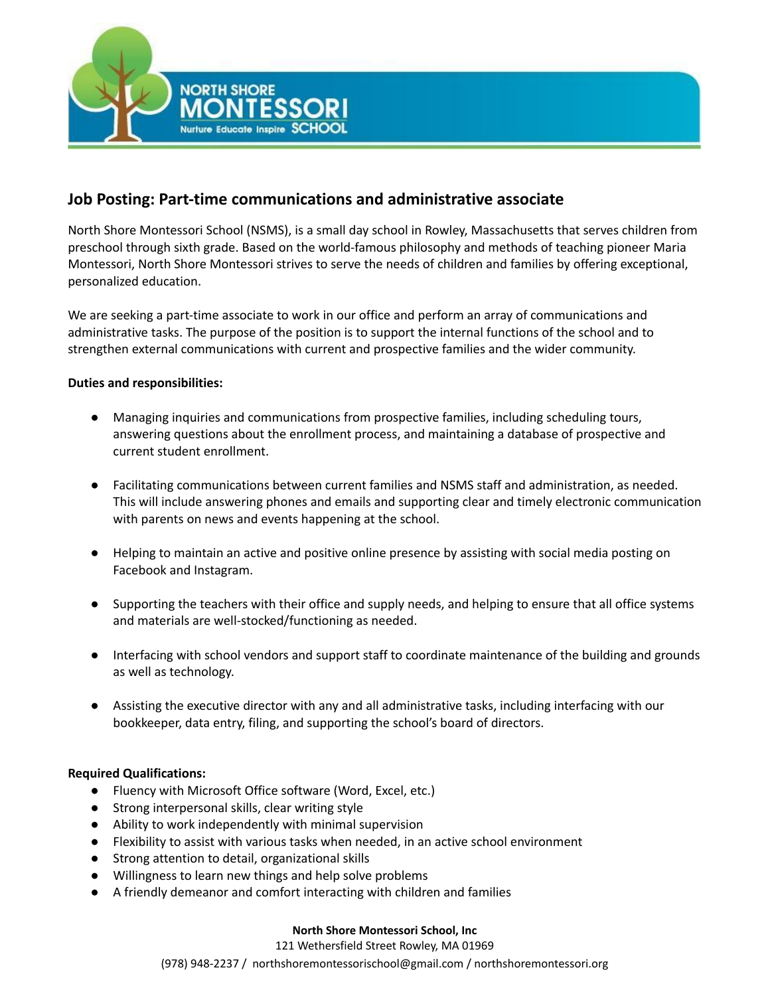

# **Job Posting: Part-time communications and administrative associate**

North Shore Montessori School (NSMS), is a small day school in Rowley, Massachusetts that serves children from preschool through sixth grade. Based on the world-famous philosophy and methods of teaching pioneer Maria Montessori, North Shore Montessori strives to serve the needs of children and families by offering exceptional, personalized education.

We are seeking a part-time associate to work in our office and perform an array of communications and administrative tasks. The purpose of the position is to support the internal functions of the school and to strengthen external communications with current and prospective families and the wider community.

## **Duties and responsibilities:**

- Managing inquiries and communications from prospective families, including scheduling tours, answering questions about the enrollment process, and maintaining a database of prospective and current student enrollment.
- Facilitating communications between current families and NSMS staff and administration, as needed. This will include answering phones and emails and supporting clear and timely electronic communication with parents on news and events happening at the school.
- Helping to maintain an active and positive online presence by assisting with social media posting on Facebook and Instagram.
- Supporting the teachers with their office and supply needs, and helping to ensure that all office systems and materials are well-stocked/functioning as needed.
- Interfacing with school vendors and support staff to coordinate maintenance of the building and grounds as well as technology.
- Assisting the executive director with any and all administrative tasks, including interfacing with our bookkeeper, data entry, filing, and supporting the school's board of directors.

## **Required Qualifications:**

- Fluency with Microsoft Office software (Word, Excel, etc.)
- Strong interpersonal skills, clear writing style
- Ability to work independently with minimal supervision
- Flexibility to assist with various tasks when needed, in an active school environment
- Strong attention to detail, organizational skills
- Willingness to learn new things and help solve problems
- A friendly demeanor and comfort interacting with children and families

#### **North Shore Montessori School, Inc**

121 Wethersfield Street Rowley, MA 01969

(978) 948-2237 / northshoremontessorischool@gmail.com / northshoremontessori.org